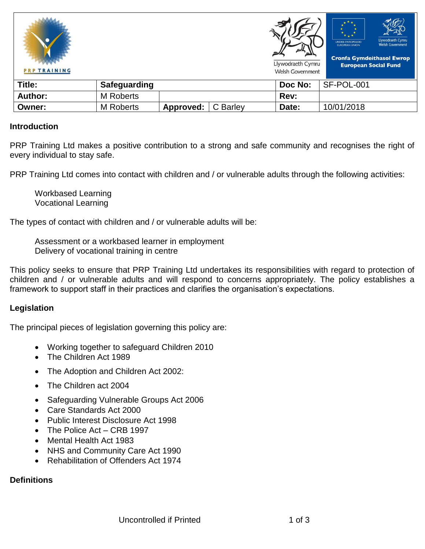

#### **Introduction**

PRP Training Ltd makes a positive contribution to a strong and safe community and recognises the right of every individual to stay safe.

PRP Training Ltd comes into contact with children and / or vulnerable adults through the following activities:

Workbased Learning Vocational Learning

The types of contact with children and / or vulnerable adults will be:

Assessment or a workbased learner in employment Delivery of vocational training in centre

This policy seeks to ensure that PRP Training Ltd undertakes its responsibilities with regard to protection of children and / or vulnerable adults and will respond to concerns appropriately. The policy establishes a framework to support staff in their practices and clarifies the organisation's expectations.

## **Legislation**

The principal pieces of legislation governing this policy are:

- Working together to safeguard Children 2010
- The Children Act 1989
- The Adoption and Children Act 2002:
- The Children act 2004
- Safeguarding Vulnerable Groups Act 2006
- Care Standards Act 2000
- Public Interest Disclosure Act 1998
- The Police Act CRB 1997
- Mental Health Act 1983
- NHS and Community Care Act 1990
- Rehabilitation of Offenders Act 1974

# **Definitions**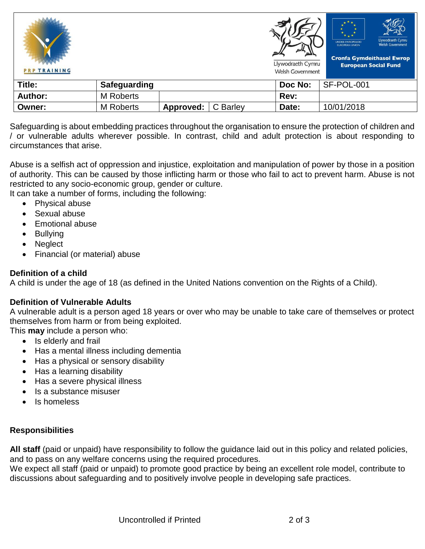| <b>PRP TRAINING</b> |                     |           |          | Llywodraeth Cymru<br><b>Welsh Government</b> | Llywodraeth Cymru<br><b>UNDEB EWROPEAIDD</b><br><b>Welsh Government</b><br><b>EUROPEAN UNION</b><br><b>Cronfa Gymdeithasol Ewrop</b><br><b>European Social Fund</b> |
|---------------------|---------------------|-----------|----------|----------------------------------------------|---------------------------------------------------------------------------------------------------------------------------------------------------------------------|
| Title:              | <b>Safeguarding</b> |           |          | Doc No:                                      | SF-POL-001                                                                                                                                                          |
| <b>Author:</b>      | M Roberts           |           |          | Rev:                                         |                                                                                                                                                                     |
| Owner:              | <b>M</b> Roberts    | Approved: | C Barley | Date:                                        | 10/01/2018                                                                                                                                                          |

Safeguarding is about embedding practices throughout the organisation to ensure the protection of children and / or vulnerable adults wherever possible. In contrast, child and adult protection is about responding to circumstances that arise.

Abuse is a selfish act of oppression and injustice, exploitation and manipulation of power by those in a position of authority. This can be caused by those inflicting harm or those who fail to act to prevent harm. Abuse is not restricted to any socio-economic group, gender or culture.

It can take a number of forms, including the following:

- Physical abuse
- Sexual abuse
- Emotional abuse
- Bullying
- Neglect
- Financial (or material) abuse

## **Definition of a child**

A child is under the age of 18 (as defined in the United Nations convention on the Rights of a Child).

## **Definition of Vulnerable Adults**

A vulnerable adult is a person aged 18 years or over who may be unable to take care of themselves or protect themselves from harm or from being exploited.

- This **may** include a person who:
	- Is elderly and frail
	- Has a mental illness including dementia
	- Has a physical or sensory disability
	- Has a learning disability
	- Has a severe physical illness
	- Is a substance misuser
	- Is homeless

## **Responsibilities**

**All staff** (paid or unpaid) have responsibility to follow the guidance laid out in this policy and related policies, and to pass on any welfare concerns using the required procedures.

We expect all staff (paid or unpaid) to promote good practice by being an excellent role model, contribute to discussions about safeguarding and to positively involve people in developing safe practices.